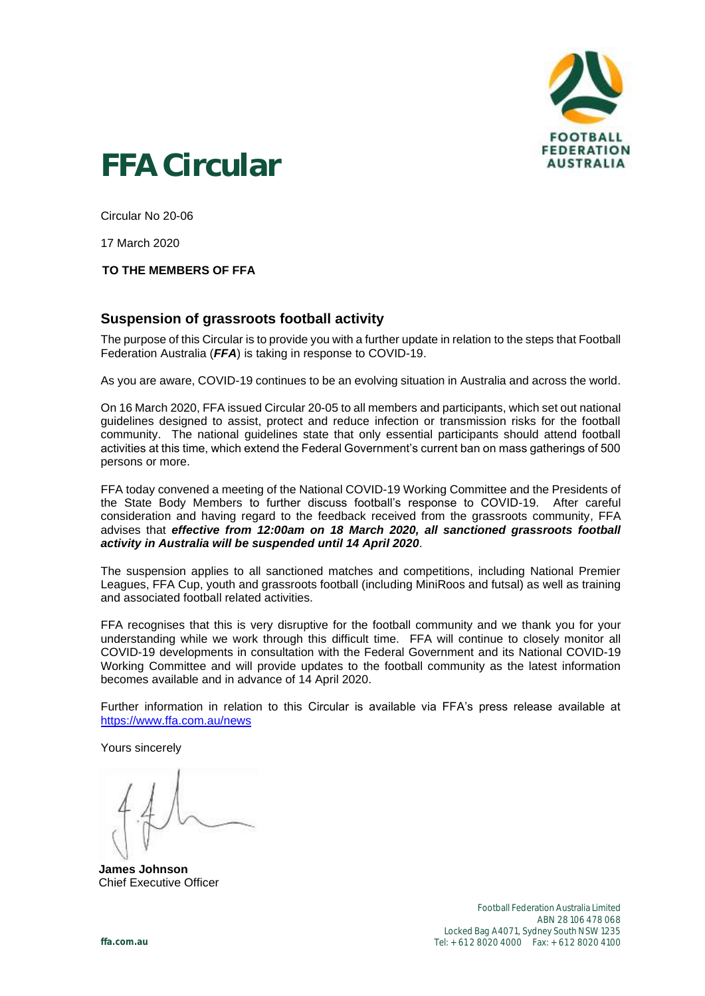

## **FFA Circular**

Circular No 20-06

17 March 2020

## **TO THE MEMBERS OF FFA**

## **Suspension of grassroots football activity**

The purpose of this Circular is to provide you with a further update in relation to the steps that Football Federation Australia (*FFA*) is taking in response to COVID-19.

As you are aware, COVID-19 continues to be an evolving situation in Australia and across the world.

On 16 March 2020, FFA issued Circular 20-05 to all members and participants, which set out national guidelines designed to assist, protect and reduce infection or transmission risks for the football community. The national guidelines state that only essential participants should attend football activities at this time, which extend the Federal Government's current ban on mass gatherings of 500 persons or more.

FFA today convened a meeting of the National COVID-19 Working Committee and the Presidents of the State Body Members to further discuss football's response to COVID-19. After careful consideration and having regard to the feedback received from the grassroots community, FFA advises that *effective from 12:00am on 18 March 2020, all sanctioned grassroots football activity in Australia will be suspended until 14 April 2020*.

The suspension applies to all sanctioned matches and competitions, including National Premier Leagues, FFA Cup, youth and grassroots football (including MiniRoos and futsal) as well as training and associated football related activities.

FFA recognises that this is very disruptive for the football community and we thank you for your understanding while we work through this difficult time. FFA will continue to closely monitor all COVID-19 developments in consultation with the Federal Government and its National COVID-19 Working Committee and will provide updates to the football community as the latest information becomes available and in advance of 14 April 2020.

Further information in relation to this Circular is available via FFA's press release available at <https://www.ffa.com.au/news>

Yours sincerely

**James Johnson** Chief Executive Officer